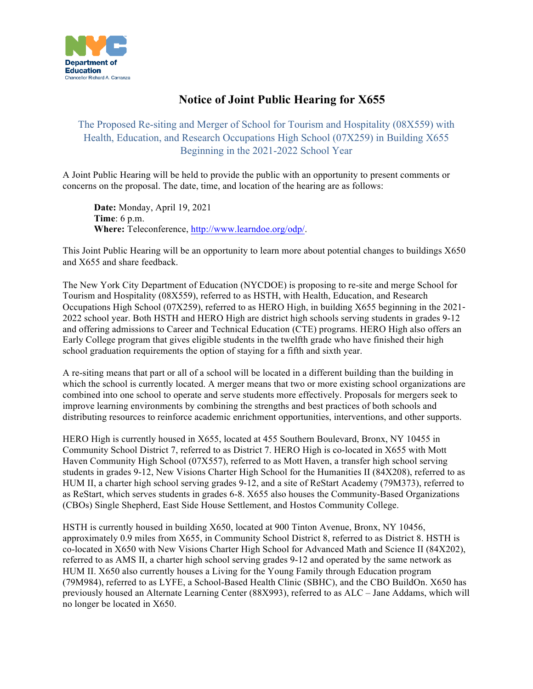

## **Notice of Joint Public Hearing for X655**

The Proposed Re-siting and Merger of School for Tourism and Hospitality (08X559) with Health, Education, and Research Occupations High School (07X259) in Building X655 Beginning in the 2021-2022 School Year

 A Joint Public Hearing will be held to provide the public with an opportunity to present comments or concerns on the proposal. The date, time, and location of the hearing are as follows:

 **Date:** Monday, April 19, 2021 **Time**: 6 p.m. **Where:** Teleconference,<http://www.learndoe.org/odp>/.

 This Joint Public Hearing will be an opportunity to learn more about potential changes to buildings X650 and X655 and share feedback.

 The New York City Department of Education (NYCDOE) is proposing to re-site and merge School for Tourism and Hospitality (08X559), referred to as HSTH, with Health, Education, and Research Occupations High School (07X259), referred to as HERO High, in building X655 beginning in the 2021- 2022 school year. Both HSTH and HERO High are district high schools serving students in grades 9-12 and offering admissions to Career and Technical Education (CTE) programs. HERO High also offers an Early College program that gives eligible students in the twelfth grade who have finished their high school graduation requirements the option of staying for a fifth and sixth year.

 A re-siting means that part or all of a school will be located in a different building than the building in which the school is currently located. A merger means that two or more existing school organizations are combined into one school to operate and serve students more effectively. Proposals for mergers seek to improve learning environments by combining the strengths and best practices of both schools and distributing resources to reinforce academic enrichment opportunities, interventions, and other supports.

 HERO High is currently housed in X655, located at 455 Southern Boulevard, Bronx, NY 10455 in Community School District 7, referred to as District 7. HERO High is co-located in X655 with Mott Haven Community High School (07X557), referred to as Mott Haven, a transfer high school serving students in grades 9-12, New Visions Charter High School for the Humanities II (84X208), referred to as HUM II, a charter high school serving grades 9-12, and a site of ReStart Academy (79M373), referred to as ReStart, which serves students in grades 6-8. X655 also houses the Community-Based Organizations (CBOs) Single Shepherd, East Side House Settlement, and Hostos Community College.

 HSTH is currently housed in building X650, located at 900 Tinton Avenue, Bronx, NY 10456, approximately 0.9 miles from X655, in Community School District 8, referred to as District 8. HSTH is referred to as AMS II, a charter high school serving grades 9-12 and operated by the same network as HUM II. X650 also currently houses a Living for the Young Family through Education program (79M984), referred to as LYFE, a School-Based Health Clinic (SBHC), and the CBO BuildOn. X650 has previously housed an Alternate Learning Center (88X993), referred to as ALC – Jane Addams, which will no longer be located in X650. co-located in X650 with New Visions Charter High School for Advanced Math and Science II (84X202),